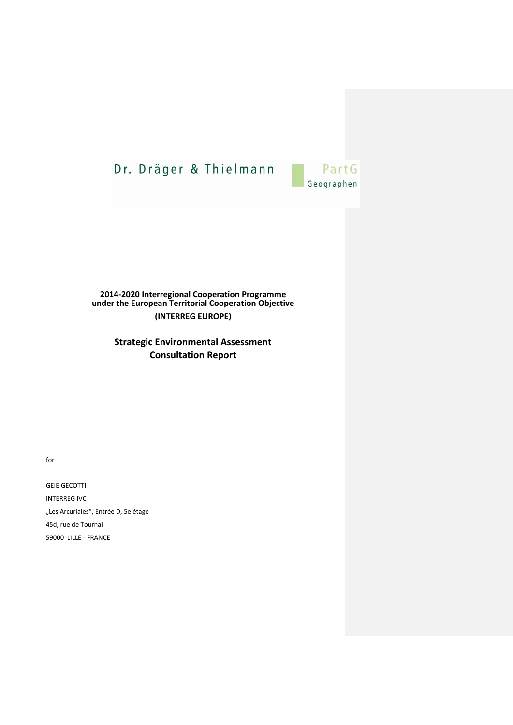

#### **2014-2020 Interregional Cooperation Programme under the European Territorial Cooperation Objective (INTERREG EUROPE)**

**Strategic Environmental Assessment Consultation Report**

for

GEIE GECOTTI INTERREG IVC "Les Arcuriales", Entrée D, 5e étage 45d, rue de Tournai 59000 LILLE - FRANCE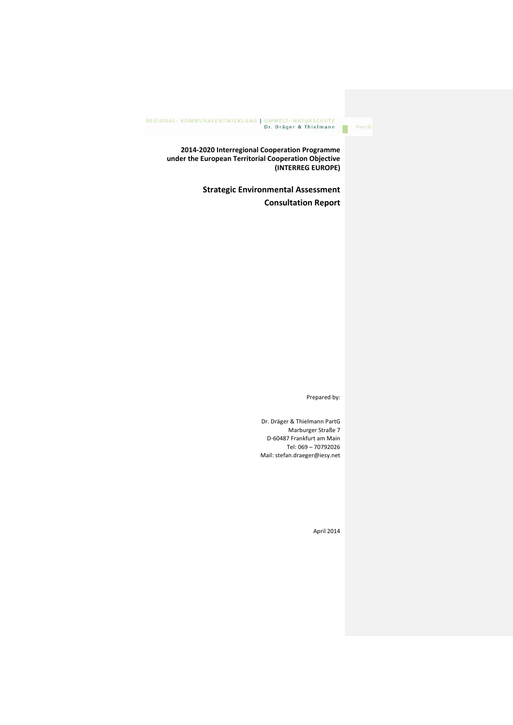**2014-2020 Interregional Cooperation Programme under the European Territorial Cooperation Objective (INTERREG EUROPE)**

> **Strategic Environmental Assessment Consultation Report**

> > Prepared by:

PartG

Dr. Dräger & Thielmann PartG Marburger Straße 7 D-60487 Frankfurt am Main Tel: 069 – 70792026 Mail: stefan.draeger@iesy.net

April 2014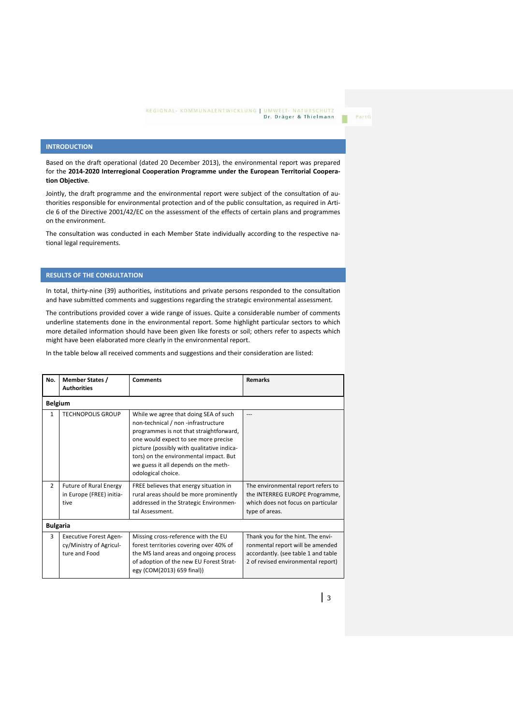PartG

#### **INTRODUCTION**

Based on the draft operational (dated 20 December 2013), the environmental report was prepared for the **2014-2020 Interregional Cooperation Programme under the European Territorial Cooperation Objective**.

Jointly, the draft programme and the environmental report were subject of the consultation of authorities responsible for environmental protection and of the public consultation, as required in Article 6 of the Directive 2001/42/EC on the assessment of the effects of certain plans and programmes on the environment.

The consultation was conducted in each Member State individually according to the respective national legal requirements.

#### **RESULTS OF THE CONSULTATION**

In total, thirty-nine (39) authorities, institutions and private persons responded to the consultation and have submitted comments and suggestions regarding the strategic environmental assessment.

The contributions provided cover a wide range of issues. Quite a considerable number of comments underline statements done in the environmental report. Some highlight particular sectors to which more detailed information should have been given like forests or soil; others refer to aspects which might have been elaborated more clearly in the environmental report.

In the table below all received comments and suggestions and their consideration are listed:

| No.            | <b>Member States /</b><br><b>Authorities</b>                              | <b>Comments</b>                                                                                                                                                                                                                                                                                                       | <b>Remarks</b>                                                                                                                                     |  |  |  |
|----------------|---------------------------------------------------------------------------|-----------------------------------------------------------------------------------------------------------------------------------------------------------------------------------------------------------------------------------------------------------------------------------------------------------------------|----------------------------------------------------------------------------------------------------------------------------------------------------|--|--|--|
| <b>Belgium</b> |                                                                           |                                                                                                                                                                                                                                                                                                                       |                                                                                                                                                    |  |  |  |
| $\mathbf{1}$   | <b>TECHNOPOLIS GROUP</b>                                                  | While we agree that doing SEA of such<br>non-technical / non -infrastructure<br>programmes is not that straightforward,<br>one would expect to see more precise<br>picture (possibly with qualitative indica-<br>tors) on the environmental impact. But<br>we guess it all depends on the meth-<br>odological choice. | ---                                                                                                                                                |  |  |  |
| $\overline{2}$ | <b>Future of Rural Energy</b><br>in Europe (FREE) initia-<br>tive         | FREE believes that energy situation in<br>rural areas should be more prominently<br>addressed in the Strategic Environmen-<br>tal Assessment.                                                                                                                                                                         | The environmental report refers to<br>the INTERREG EUROPE Programme,<br>which does not focus on particular<br>type of areas.                       |  |  |  |
|                | <b>Bulgaria</b>                                                           |                                                                                                                                                                                                                                                                                                                       |                                                                                                                                                    |  |  |  |
| 3              | <b>Executive Forest Agen-</b><br>cy/Ministry of Agricul-<br>ture and Food | Missing cross-reference with the EU<br>forest territories covering over 40% of<br>the MS land areas and ongoing process<br>of adoption of the new EU Forest Strat-<br>egy (COM(2013) 659 final))                                                                                                                      | Thank you for the hint. The envi-<br>ronmental report will be amended<br>accordantly. (see table 1 and table<br>2 of revised environmental report) |  |  |  |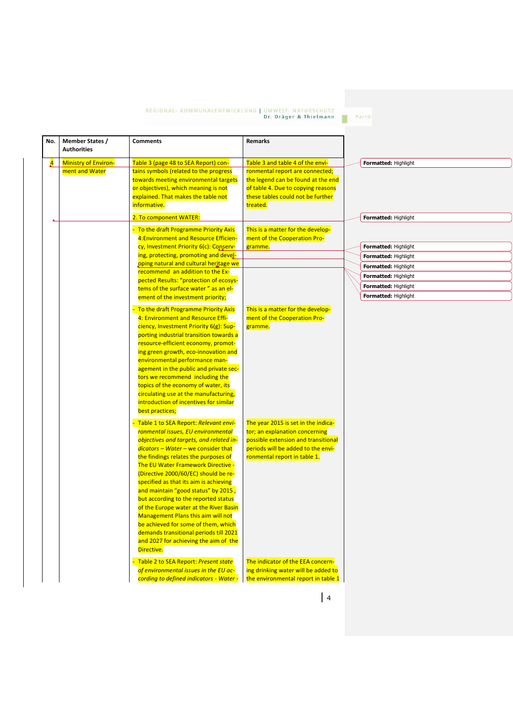PartG п

| No.            | Member States /<br><b>Authorities</b> | <b>Comments</b>                                                                 | Remarks                                       |  |                      |
|----------------|---------------------------------------|---------------------------------------------------------------------------------|-----------------------------------------------|--|----------------------|
| $\overline{A}$ | <b>Ministry of Environ-</b>           | Table 3 (page 48 to SEA Report) con-                                            | Table 3 and table 4 of the envi-              |  | Formatted: Highlight |
|                | ment and Water                        | tains symbols (related to the progress                                          | ronmental report are connected;               |  |                      |
|                |                                       | towards meeting environmental targets                                           | the legend can be found at the end            |  |                      |
|                |                                       | or objectives), which meaning is not                                            | of table 4. Due to copying reasons            |  |                      |
|                |                                       | explained. That makes the table not<br>informative.                             | these tables could not be further<br>treated. |  |                      |
|                |                                       |                                                                                 |                                               |  |                      |
| Δ.             |                                       | 2. To component WATER:                                                          |                                               |  | Formatted: Highlight |
|                |                                       | - To the draft Programme Priority Axis                                          | This is a matter for the develop-             |  |                      |
|                |                                       | 4: Environment and Resource Efficien-<br>cy, Investment Priority 6(c): Conserv- | ment of the Cooperation Pro-<br>gramme.       |  | Formatted: Highlight |
|                |                                       | ing, protecting, promoting and devel-                                           |                                               |  | Formatted: Highlight |
|                |                                       | oping natural and cultural heritage we                                          |                                               |  | Formatted: Highlight |
|                |                                       | recommend an addition to the Ex-                                                |                                               |  | Formatted: Highlight |
|                |                                       | pected Results: "protection of ecosys-                                          |                                               |  |                      |
|                |                                       | tems of the surface water" as an el-                                            |                                               |  | Formatted: Highlight |
|                |                                       | ement of the investment priority;                                               |                                               |  | Formatted: Highlight |
|                |                                       | To the draft Programme Priority Axis                                            | This is a matter for the develop-             |  |                      |
|                |                                       | 4: Environment and Resource Effi-                                               | ment of the Cooperation Pro-                  |  |                      |
|                |                                       | ciency, Investment Priority 6(g): Sup-                                          | gramme.                                       |  |                      |
|                |                                       | porting industrial transition towards a                                         |                                               |  |                      |
|                |                                       | resource-efficient economy, promot-                                             |                                               |  |                      |
|                |                                       | ing green growth, eco-innovation and<br>environmental performance man-          |                                               |  |                      |
|                |                                       | agement in the public and private sec-                                          |                                               |  |                      |
|                |                                       | tors we recommend including the                                                 |                                               |  |                      |
|                |                                       | topics of the economy of water, its                                             |                                               |  |                      |
|                |                                       | circulating use at the manufacturing,                                           |                                               |  |                      |
|                |                                       | introduction of incentives for similar                                          |                                               |  |                      |
|                |                                       | best practices;                                                                 |                                               |  |                      |
|                |                                       | Table 1 to SEA Report: Relevant envi-                                           | The year 2015 is set in the indica-           |  |                      |
|                |                                       | ronmental issues, EU environmental                                              | tor; an explanation concerning                |  |                      |
|                |                                       | objectives and targets, and related in-                                         | possible extension and transitional           |  |                      |
|                |                                       | $dicators - Water - we consider that$                                           | periods will be added to the envi-            |  |                      |
|                |                                       | the findings relates the purposes of                                            | ronmental report in table 1.                  |  |                      |
|                |                                       | The EU Water Framework Directive -<br>(Directive 2000/60/EC) should be re-      |                                               |  |                      |
|                |                                       | specified as that its aim is achieving                                          |                                               |  |                      |
|                |                                       | and maintain "good status" by 2015,                                             |                                               |  |                      |
|                |                                       | but according to the reported status                                            |                                               |  |                      |
|                |                                       | of the Europe water at the River Basin                                          |                                               |  |                      |
|                |                                       | <b>Management Plans this aim will not</b>                                       |                                               |  |                      |
|                |                                       | be achieved for some of them, which                                             |                                               |  |                      |
|                |                                       | demands transitional periods till 2021                                          |                                               |  |                      |
|                |                                       | and 2027 for achieving the aim of the                                           |                                               |  |                      |
|                |                                       | Directive.                                                                      |                                               |  |                      |
|                |                                       | Table 2 to SEA Report: Present state                                            | The indicator of the EEA concern-             |  |                      |
|                |                                       | of environmental issues in the EU ac-                                           | ing drinking water will be added to           |  |                      |
|                |                                       | cording to defined indicators - Water -                                         | the environmental report in table 1           |  |                      |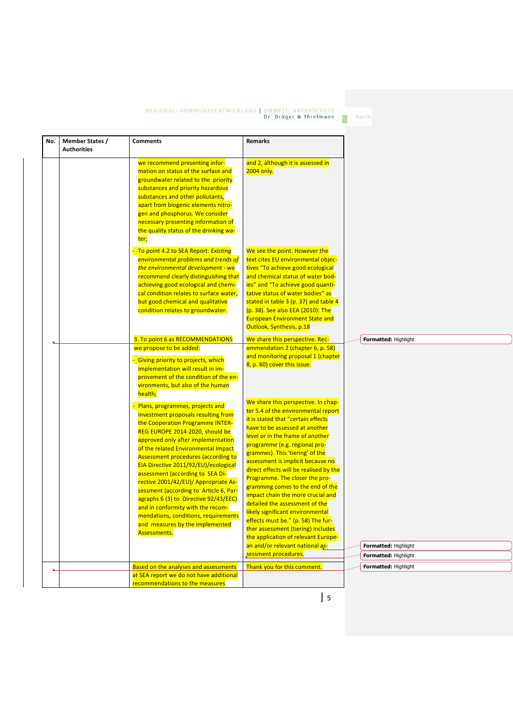PartG

| we recommend presenting infor-<br>and 2, although it is assessed in<br>mation on status of the surface and<br>2004 only.<br>groundwater related to the priority<br>substances and priority hazardous<br>substances and other pollutants,<br>apart from biogenic elements nitro-<br>gen and phosphorus. We consider<br>necessary presenting information of<br>the quality status of the drinking wa-<br>ter;<br>To point 4.2 to SEA Report: Existing<br>We see the point. However the<br>environmental problems and trends of<br>text cites EU environmental objec-<br>the environmental development - we<br>tives "To achieve good ecological<br>recommend clearly distinguishing that<br>and chemical status of water bod-<br>ies" and "To achieve good quanti-<br>achieving good ecological and chemi-<br>cal condition relates to surface water,<br>tative status of water bodies" as<br>but good chemical and qualitative<br>stated in table 3 (p. 37) and table 4<br>condition relates to groundwater.<br>(p. 38). See also EEA (2010): The<br><b>European Environment State and</b><br>Outlook, Synthesis, p.18<br>3. To point 6 as RECOMMENDATIONS<br>We share this perspective. Rec-<br>Formatted: Highlight<br>Δ<br>we propose to be added:<br>ommendation 2 (chapter 6, p. 58)<br>and monitoring proposal 1 (chapter<br>Giving priority to projects, which<br>8, p. 60) cover this issue.<br>implementation will result in im-<br>provement of the condition of the en-<br>vironments, but also of the human<br>health;<br>We share this perspective. In chap-<br>Plans, programmes, projects and<br>ter 5.4 of the environmental report<br>investment proposals resulting from<br>it is stated that "certain effects<br>the Cooperation Programme INTER-<br>have to be assessed at another<br>REG EUROPE 2014-2020, should be<br>level or in the frame of another<br>approved only after implementation<br>programme (e.g. regional pro-<br>of the related Environmental Impact<br>grammes). This 'tiering' of the<br><b>Assessment procedures (according to</b><br>assessment is implicit because no<br>EIA Directive 2011/92/EU)/ecological<br>direct effects will be realised by the<br>assessment (according to SEA Di-<br>Programme. The closer the pro-<br>rective 2001/42/EU)/ Appropriate As-<br>gramming comes to the end of the<br>sessment (according to Article 6, Par-<br>impact chain the more crucial and<br>agraphs 6 (3) to Directive 92/43/EEC)<br>detailed the assessment of the<br>and in conformity with the recom-<br>likely significant environmental<br>mendations, conditions, requirements<br>effects must be." (p. 58) The fur-<br>and measures by the implemented<br>ther assessment (tiering) includes<br>Assessments.<br>the application of relevant Europe-<br>an and/or relevant national as-<br>Formatted: Highlight<br>sessment procedures.<br>Formatted: Highlight<br><b>Based on the analyses and assessments</b><br>Thank you for this comment.<br>Formatted: Highlight<br>Δ.<br>at SEA report we do not have additional | <b>Member States /</b><br>No.<br><b>Authorities</b> | <b>Comments</b> | <b>Remarks</b> |  |
|--------------------------------------------------------------------------------------------------------------------------------------------------------------------------------------------------------------------------------------------------------------------------------------------------------------------------------------------------------------------------------------------------------------------------------------------------------------------------------------------------------------------------------------------------------------------------------------------------------------------------------------------------------------------------------------------------------------------------------------------------------------------------------------------------------------------------------------------------------------------------------------------------------------------------------------------------------------------------------------------------------------------------------------------------------------------------------------------------------------------------------------------------------------------------------------------------------------------------------------------------------------------------------------------------------------------------------------------------------------------------------------------------------------------------------------------------------------------------------------------------------------------------------------------------------------------------------------------------------------------------------------------------------------------------------------------------------------------------------------------------------------------------------------------------------------------------------------------------------------------------------------------------------------------------------------------------------------------------------------------------------------------------------------------------------------------------------------------------------------------------------------------------------------------------------------------------------------------------------------------------------------------------------------------------------------------------------------------------------------------------------------------------------------------------------------------------------------------------------------------------------------------------------------------------------------------------------------------------------------------------------------------------------------------------------------------------------------------------------------------------------------------------------------------------------------------------------------------------------------------------------------------------------------------------------------------------------------------------------------------------------------------------------------------------------------------------|-----------------------------------------------------|-----------------|----------------|--|
|                                                                                                                                                                                                                                                                                                                                                                                                                                                                                                                                                                                                                                                                                                                                                                                                                                                                                                                                                                                                                                                                                                                                                                                                                                                                                                                                                                                                                                                                                                                                                                                                                                                                                                                                                                                                                                                                                                                                                                                                                                                                                                                                                                                                                                                                                                                                                                                                                                                                                                                                                                                                                                                                                                                                                                                                                                                                                                                                                                                                                                                                          |                                                     |                 |                |  |
|                                                                                                                                                                                                                                                                                                                                                                                                                                                                                                                                                                                                                                                                                                                                                                                                                                                                                                                                                                                                                                                                                                                                                                                                                                                                                                                                                                                                                                                                                                                                                                                                                                                                                                                                                                                                                                                                                                                                                                                                                                                                                                                                                                                                                                                                                                                                                                                                                                                                                                                                                                                                                                                                                                                                                                                                                                                                                                                                                                                                                                                                          |                                                     |                 |                |  |
|                                                                                                                                                                                                                                                                                                                                                                                                                                                                                                                                                                                                                                                                                                                                                                                                                                                                                                                                                                                                                                                                                                                                                                                                                                                                                                                                                                                                                                                                                                                                                                                                                                                                                                                                                                                                                                                                                                                                                                                                                                                                                                                                                                                                                                                                                                                                                                                                                                                                                                                                                                                                                                                                                                                                                                                                                                                                                                                                                                                                                                                                          |                                                     |                 |                |  |
|                                                                                                                                                                                                                                                                                                                                                                                                                                                                                                                                                                                                                                                                                                                                                                                                                                                                                                                                                                                                                                                                                                                                                                                                                                                                                                                                                                                                                                                                                                                                                                                                                                                                                                                                                                                                                                                                                                                                                                                                                                                                                                                                                                                                                                                                                                                                                                                                                                                                                                                                                                                                                                                                                                                                                                                                                                                                                                                                                                                                                                                                          |                                                     |                 |                |  |
|                                                                                                                                                                                                                                                                                                                                                                                                                                                                                                                                                                                                                                                                                                                                                                                                                                                                                                                                                                                                                                                                                                                                                                                                                                                                                                                                                                                                                                                                                                                                                                                                                                                                                                                                                                                                                                                                                                                                                                                                                                                                                                                                                                                                                                                                                                                                                                                                                                                                                                                                                                                                                                                                                                                                                                                                                                                                                                                                                                                                                                                                          |                                                     |                 |                |  |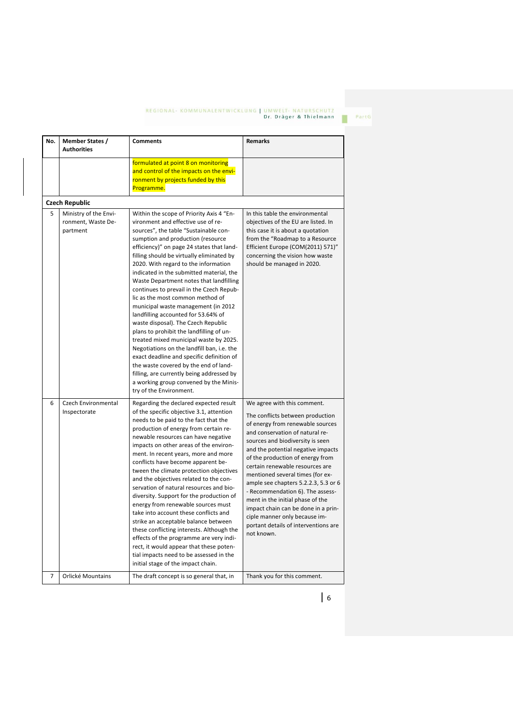| No. | <b>Member States /</b><br><b>Authorities</b>            | <b>Comments</b>                                                                                                                                                                                                                                                                                                                                                                                                                                                                                                                                                                                                                                                                                                                                                                                                                                                                                                                        | <b>Remarks</b>                                                                                                                                                                                                                                                                                                                                                                                                                                                                                                                                                            |
|-----|---------------------------------------------------------|----------------------------------------------------------------------------------------------------------------------------------------------------------------------------------------------------------------------------------------------------------------------------------------------------------------------------------------------------------------------------------------------------------------------------------------------------------------------------------------------------------------------------------------------------------------------------------------------------------------------------------------------------------------------------------------------------------------------------------------------------------------------------------------------------------------------------------------------------------------------------------------------------------------------------------------|---------------------------------------------------------------------------------------------------------------------------------------------------------------------------------------------------------------------------------------------------------------------------------------------------------------------------------------------------------------------------------------------------------------------------------------------------------------------------------------------------------------------------------------------------------------------------|
|     |                                                         | formulated at point 8 on monitoring<br>and control of the impacts on the envi-<br>ronment by projects funded by this<br>Programme.                                                                                                                                                                                                                                                                                                                                                                                                                                                                                                                                                                                                                                                                                                                                                                                                     |                                                                                                                                                                                                                                                                                                                                                                                                                                                                                                                                                                           |
|     | <b>Czech Republic</b>                                   |                                                                                                                                                                                                                                                                                                                                                                                                                                                                                                                                                                                                                                                                                                                                                                                                                                                                                                                                        |                                                                                                                                                                                                                                                                                                                                                                                                                                                                                                                                                                           |
| 5   | Ministry of the Envi-<br>ronment, Waste De-<br>partment | Within the scope of Priority Axis 4 "En-<br>vironment and effective use of re-<br>sources", the table "Sustainable con-<br>sumption and production (resource<br>efficiency)" on page 24 states that land-<br>filling should be virtually eliminated by<br>2020. With regard to the information<br>indicated in the submitted material, the<br>Waste Department notes that landfilling<br>continues to prevail in the Czech Repub-<br>lic as the most common method of<br>municipal waste management (in 2012<br>landfilling accounted for 53.64% of<br>waste disposal). The Czech Republic<br>plans to prohibit the landfilling of un-<br>treated mixed municipal waste by 2025.<br>Negotiations on the landfill ban, i.e. the<br>exact deadline and specific definition of<br>the waste covered by the end of land-<br>filling, are currently being addressed by<br>a working group convened by the Minis-<br>try of the Environment. | In this table the environmental<br>objectives of the EU are listed. In<br>this case it is about a quotation<br>from the "Roadmap to a Resource<br>Efficient Europe (COM(2011) 571)"<br>concerning the vision how waste<br>should be managed in 2020.                                                                                                                                                                                                                                                                                                                      |
| 6   | Czech Environmental<br>Inspectorate                     | Regarding the declared expected result<br>of the specific objective 3.1, attention<br>needs to be paid to the fact that the<br>production of energy from certain re-<br>newable resources can have negative<br>impacts on other areas of the environ-<br>ment. In recent years, more and more<br>conflicts have become apparent be-<br>tween the climate protection objectives<br>and the objectives related to the con-<br>servation of natural resources and bio-<br>diversity. Support for the production of<br>energy from renewable sources must<br>take into account these conflicts and<br>strike an acceptable balance between<br>these conflicting interests. Although the<br>effects of the programme are very indi-<br>rect, it would appear that these poten-<br>tial impacts need to be assessed in the<br>initial stage of the impact chain.                                                                             | We agree with this comment.<br>The conflicts between production<br>of energy from renewable sources<br>and conservation of natural re-<br>sources and biodiversity is seen<br>and the potential negative impacts<br>of the production of energy from<br>certain renewable resources are<br>mentioned several times (for ex-<br>ample see chapters 5.2.2.3, 5.3 or 6<br>- Recommendation 6). The assess-<br>ment in the initial phase of the<br>impact chain can be done in a prin-<br>ciple manner only because im-<br>portant details of interventions are<br>not known. |
| 7   | Orlické Mountains                                       | The draft concept is so general that, in                                                                                                                                                                                                                                                                                                                                                                                                                                                                                                                                                                                                                                                                                                                                                                                                                                                                                               | Thank you for this comment.                                                                                                                                                                                                                                                                                                                                                                                                                                                                                                                                               |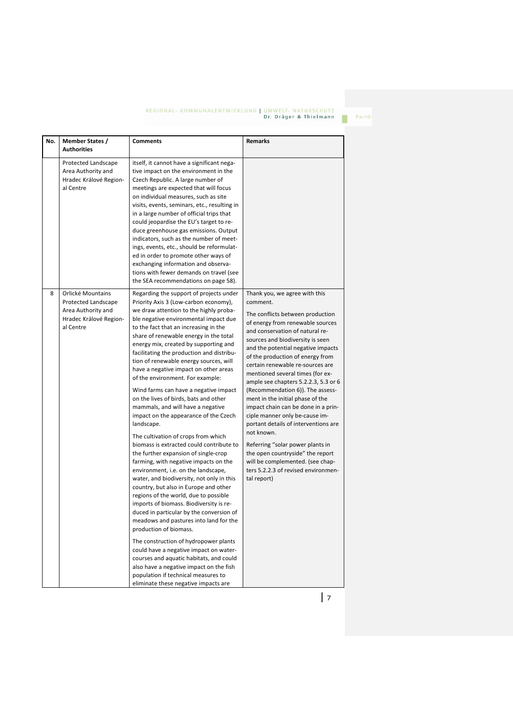| No. | <b>Member States /</b><br><b>Authorities</b>                                                          | <b>Comments</b>                                                                                                                                                                                                                                                                                                                                                                                                                                                                                                                                                                                                                                     | <b>Remarks</b>                                                                                                                                                                                                                                                                                                                                                                     |
|-----|-------------------------------------------------------------------------------------------------------|-----------------------------------------------------------------------------------------------------------------------------------------------------------------------------------------------------------------------------------------------------------------------------------------------------------------------------------------------------------------------------------------------------------------------------------------------------------------------------------------------------------------------------------------------------------------------------------------------------------------------------------------------------|------------------------------------------------------------------------------------------------------------------------------------------------------------------------------------------------------------------------------------------------------------------------------------------------------------------------------------------------------------------------------------|
|     | Protected Landscape<br>Area Authority and<br>Hradec Králové Region-<br>al Centre                      | itself, it cannot have a significant nega-<br>tive impact on the environment in the<br>Czech Republic. A large number of<br>meetings are expected that will focus<br>on individual measures, such as site<br>visits, events, seminars, etc., resulting in<br>in a large number of official trips that<br>could jeopardise the EU's target to re-<br>duce greenhouse gas emissions. Output<br>indicators, such as the number of meet-<br>ings, events, etc., should be reformulat-<br>ed in order to promote other ways of<br>exchanging information and observa-<br>tions with fewer demands on travel (see<br>the SEA recommendations on page 58). |                                                                                                                                                                                                                                                                                                                                                                                    |
| 8   | Orlické Mountains<br>Protected Landscape<br>Area Authority and<br>Hradec Králové Region-<br>al Centre | Regarding the support of projects under<br>Priority Axis 3 (Low-carbon economy),<br>we draw attention to the highly proba-<br>ble negative environmental impact due<br>to the fact that an increasing in the<br>share of renewable energy in the total<br>energy mix, created by supporting and<br>facilitating the production and distribu-<br>tion of renewable energy sources, will<br>have a negative impact on other areas<br>of the environment. For example:                                                                                                                                                                                 | Thank you, we agree with this<br>comment.<br>The conflicts between production<br>of energy from renewable sources<br>and conservation of natural re-<br>sources and biodiversity is seen<br>and the potential negative impacts<br>of the production of energy from<br>certain renewable re-sources are<br>mentioned several times (for ex-<br>ample see chapters 5.2.2.3, 5.3 or 6 |
|     |                                                                                                       | Wind farms can have a negative impact<br>on the lives of birds, bats and other<br>mammals, and will have a negative<br>impact on the appearance of the Czech<br>landscape.                                                                                                                                                                                                                                                                                                                                                                                                                                                                          | (Recommendation 6)). The assess-<br>ment in the initial phase of the<br>impact chain can be done in a prin-<br>ciple manner only be-cause im-<br>portant details of interventions are                                                                                                                                                                                              |
|     |                                                                                                       | The cultivation of crops from which<br>biomass is extracted could contribute to<br>the further expansion of single-crop<br>farming, with negative impacts on the<br>environment, i.e. on the landscape,<br>water, and biodiversity, not only in this<br>country, but also in Europe and other<br>regions of the world, due to possible<br>imports of biomass. Biodiversity is re-<br>duced in particular by the conversion of<br>meadows and pastures into land for the<br>production of biomass.                                                                                                                                                   | not known.<br>Referring "solar power plants in<br>the open countryside" the report<br>will be complemented. (see chap-<br>ters 5.2.2.3 of revised environmen-<br>tal report)                                                                                                                                                                                                       |
|     |                                                                                                       | The construction of hydropower plants<br>could have a negative impact on water-<br>courses and aquatic habitats, and could<br>also have a negative impact on the fish<br>population if technical measures to<br>eliminate these negative impacts are                                                                                                                                                                                                                                                                                                                                                                                                |                                                                                                                                                                                                                                                                                                                                                                                    |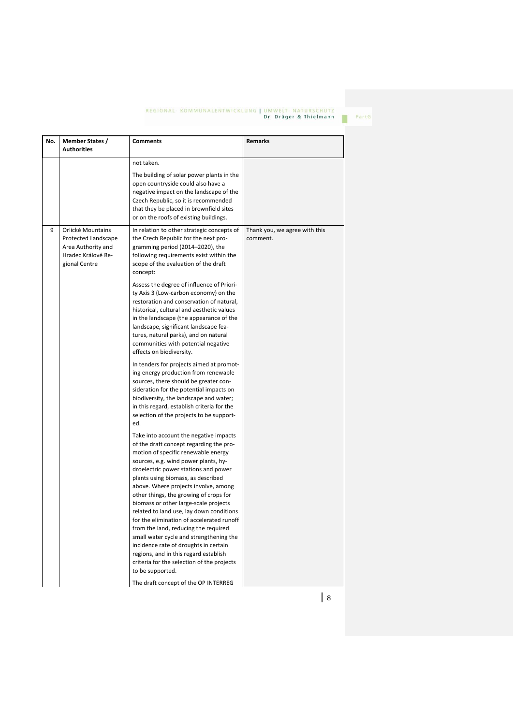| No. | <b>Member States /</b><br><b>Authorities</b>                                                          | <b>Comments</b>                                                                                                                                                                                                                                                                                                                                                                                                                                                                                                                                                                                                                                                                                                                                                                                                                                                                                                                                                                                                                                                                                                                                                                                                                                                                                                                                                                                                                                                                                                                                                                                                                                                              | Remarks                                   |
|-----|-------------------------------------------------------------------------------------------------------|------------------------------------------------------------------------------------------------------------------------------------------------------------------------------------------------------------------------------------------------------------------------------------------------------------------------------------------------------------------------------------------------------------------------------------------------------------------------------------------------------------------------------------------------------------------------------------------------------------------------------------------------------------------------------------------------------------------------------------------------------------------------------------------------------------------------------------------------------------------------------------------------------------------------------------------------------------------------------------------------------------------------------------------------------------------------------------------------------------------------------------------------------------------------------------------------------------------------------------------------------------------------------------------------------------------------------------------------------------------------------------------------------------------------------------------------------------------------------------------------------------------------------------------------------------------------------------------------------------------------------------------------------------------------------|-------------------------------------------|
|     |                                                                                                       | not taken.<br>The building of solar power plants in the<br>open countryside could also have a<br>negative impact on the landscape of the<br>Czech Republic, so it is recommended<br>that they be placed in brownfield sites<br>or on the roofs of existing buildings.                                                                                                                                                                                                                                                                                                                                                                                                                                                                                                                                                                                                                                                                                                                                                                                                                                                                                                                                                                                                                                                                                                                                                                                                                                                                                                                                                                                                        |                                           |
| 9   | Orlické Mountains<br>Protected Landscape<br>Area Authority and<br>Hradec Králové Re-<br>gional Centre | In relation to other strategic concepts of<br>the Czech Republic for the next pro-<br>gramming period (2014-2020), the<br>following requirements exist within the<br>scope of the evaluation of the draft<br>concept:<br>Assess the degree of influence of Priori-<br>ty Axis 3 (Low-carbon economy) on the<br>restoration and conservation of natural,<br>historical, cultural and aesthetic values<br>in the landscape (the appearance of the<br>landscape, significant landscape fea-<br>tures, natural parks), and on natural<br>communities with potential negative<br>effects on biodiversity.<br>In tenders for projects aimed at promot-<br>ing energy production from renewable<br>sources, there should be greater con-<br>sideration for the potential impacts on<br>biodiversity, the landscape and water;<br>in this regard, establish criteria for the<br>selection of the projects to be support-<br>ed.<br>Take into account the negative impacts<br>of the draft concept regarding the pro-<br>motion of specific renewable energy<br>sources, e.g. wind power plants, hy-<br>droelectric power stations and power<br>plants using biomass, as described<br>above. Where projects involve, among<br>other things, the growing of crops for<br>biomass or other large-scale projects<br>related to land use, lay down conditions<br>for the elimination of accelerated runoff<br>from the land, reducing the required<br>small water cycle and strengthening the<br>incidence rate of droughts in certain<br>regions, and in this regard establish<br>criteria for the selection of the projects<br>to be supported.<br>The draft concept of the OP INTERREG | Thank you, we agree with this<br>comment. |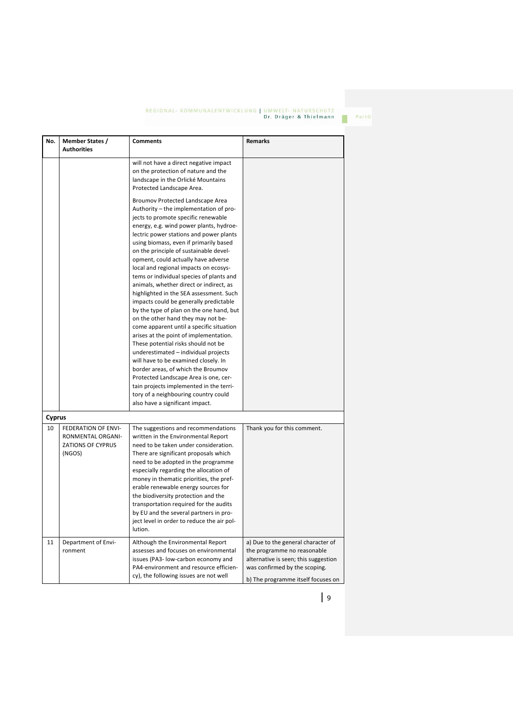| No.    | <b>Member States /</b><br><b>Authorities</b>                                          | <b>Comments</b>                                                                                                                                                                                                                                                                                                                                                                                                                                                                                                                                                                                                                                                                                                                                                                                                                                                                                                                                                                                                                                             | <b>Remarks</b>                                                                                                                                                                   |
|--------|---------------------------------------------------------------------------------------|-------------------------------------------------------------------------------------------------------------------------------------------------------------------------------------------------------------------------------------------------------------------------------------------------------------------------------------------------------------------------------------------------------------------------------------------------------------------------------------------------------------------------------------------------------------------------------------------------------------------------------------------------------------------------------------------------------------------------------------------------------------------------------------------------------------------------------------------------------------------------------------------------------------------------------------------------------------------------------------------------------------------------------------------------------------|----------------------------------------------------------------------------------------------------------------------------------------------------------------------------------|
|        |                                                                                       | will not have a direct negative impact<br>on the protection of nature and the<br>landscape in the Orlické Mountains<br>Protected Landscape Area.                                                                                                                                                                                                                                                                                                                                                                                                                                                                                                                                                                                                                                                                                                                                                                                                                                                                                                            |                                                                                                                                                                                  |
|        |                                                                                       | Broumov Protected Landscape Area<br>Authority - the implementation of pro-<br>jects to promote specific renewable<br>energy, e.g. wind power plants, hydroe-<br>lectric power stations and power plants<br>using biomass, even if primarily based<br>on the principle of sustainable devel-<br>opment, could actually have adverse<br>local and regional impacts on ecosys-<br>tems or individual species of plants and<br>animals, whether direct or indirect, as<br>highlighted in the SEA assessment. Such<br>impacts could be generally predictable<br>by the type of plan on the one hand, but<br>on the other hand they may not be-<br>come apparent until a specific situation<br>arises at the point of implementation.<br>These potential risks should not be<br>underestimated - individual projects<br>will have to be examined closely. In<br>border areas, of which the Broumov<br>Protected Landscape Area is one, cer-<br>tain projects implemented in the terri-<br>tory of a neighbouring country could<br>also have a significant impact. |                                                                                                                                                                                  |
| Cyprus |                                                                                       |                                                                                                                                                                                                                                                                                                                                                                                                                                                                                                                                                                                                                                                                                                                                                                                                                                                                                                                                                                                                                                                             |                                                                                                                                                                                  |
| 10     | <b>FEDERATION OF ENVI-</b><br>RONMENTAL ORGANI-<br><b>ZATIONS OF CYPRUS</b><br>(NGOS) | The suggestions and recommendations<br>written in the Environmental Report<br>need to be taken under consideration.<br>There are significant proposals which<br>need to be adopted in the programme<br>especially regarding the allocation of<br>money in thematic priorities, the pref-<br>erable renewable energy sources for<br>the biodiversity protection and the<br>transportation required for the audits<br>by EU and the several partners in pro-<br>ject level in order to reduce the air pol-<br>lution.                                                                                                                                                                                                                                                                                                                                                                                                                                                                                                                                         | Thank you for this comment.                                                                                                                                                      |
| 11     | Department of Envi-<br>ronment                                                        | Although the Environmental Report<br>assesses and focuses on environmental<br>issues (PA3- low-carbon economy and<br>PA4-environment and resource efficien-<br>cy), the following issues are not well                                                                                                                                                                                                                                                                                                                                                                                                                                                                                                                                                                                                                                                                                                                                                                                                                                                       | a) Due to the general character of<br>the programme no reasonable<br>alternative is seen; this suggestion<br>was confirmed by the scoping.<br>b) The programme itself focuses on |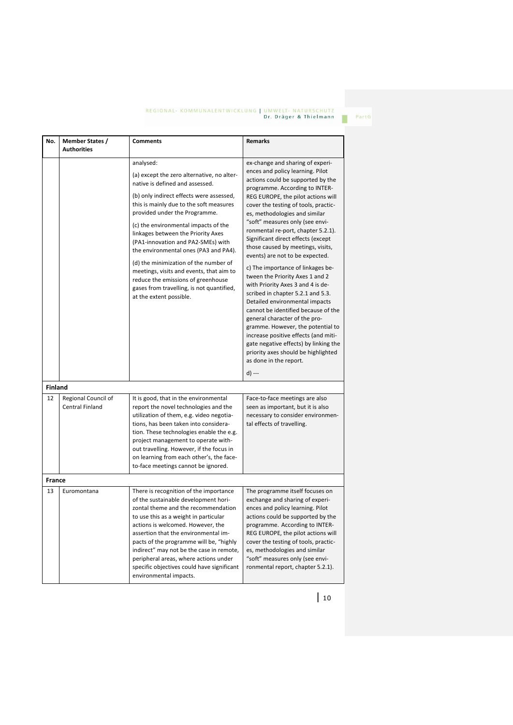PartG

| No.            | <b>Member States /</b>                 | <b>Comments</b>                                                                                                                                                                                                                                                                                                                                                                                                                                                                                                                                                                    | Remarks                                                                                                                                                                                                                                                                                                                                                                                                                                                                                                                                                                                                                                                                                                                                                                                                                                                                                                        |
|----------------|----------------------------------------|------------------------------------------------------------------------------------------------------------------------------------------------------------------------------------------------------------------------------------------------------------------------------------------------------------------------------------------------------------------------------------------------------------------------------------------------------------------------------------------------------------------------------------------------------------------------------------|----------------------------------------------------------------------------------------------------------------------------------------------------------------------------------------------------------------------------------------------------------------------------------------------------------------------------------------------------------------------------------------------------------------------------------------------------------------------------------------------------------------------------------------------------------------------------------------------------------------------------------------------------------------------------------------------------------------------------------------------------------------------------------------------------------------------------------------------------------------------------------------------------------------|
|                | <b>Authorities</b>                     |                                                                                                                                                                                                                                                                                                                                                                                                                                                                                                                                                                                    |                                                                                                                                                                                                                                                                                                                                                                                                                                                                                                                                                                                                                                                                                                                                                                                                                                                                                                                |
|                |                                        | analysed:<br>(a) except the zero alternative, no alter-<br>native is defined and assessed.<br>(b) only indirect effects were assessed,<br>this is mainly due to the soft measures<br>provided under the Programme.<br>(c) the environmental impacts of the<br>linkages between the Priority Axes<br>(PA1-innovation and PA2-SMEs) with<br>the environmental ones (PA3 and PA4).<br>(d) the minimization of the number of<br>meetings, visits and events, that aim to<br>reduce the emissions of greenhouse<br>gases from travelling, is not quantified,<br>at the extent possible. | ex-change and sharing of experi-<br>ences and policy learning. Pilot<br>actions could be supported by the<br>programme. According to INTER-<br>REG EUROPE, the pilot actions will<br>cover the testing of tools, practic-<br>es, methodologies and similar<br>"soft" measures only (see envi-<br>ronmental re-port, chapter 5.2.1).<br>Significant direct effects (except<br>those caused by meetings, visits,<br>events) are not to be expected.<br>c) The importance of linkages be-<br>tween the Priority Axes 1 and 2<br>with Priority Axes 3 and 4 is de-<br>scribed in chapter 5.2.1 and 5.3.<br>Detailed environmental impacts<br>cannot be identified because of the<br>general character of the pro-<br>gramme. However, the potential to<br>increase positive effects (and miti-<br>gate negative effects) by linking the<br>priority axes should be highlighted<br>as done in the report.<br>d) --- |
| <b>Finland</b> |                                        |                                                                                                                                                                                                                                                                                                                                                                                                                                                                                                                                                                                    |                                                                                                                                                                                                                                                                                                                                                                                                                                                                                                                                                                                                                                                                                                                                                                                                                                                                                                                |
| 12             | Regional Council of<br>Central Finland | It is good, that in the environmental<br>report the novel technologies and the<br>utilization of them, e.g. video negotia-<br>tions, has been taken into considera-<br>tion. These technologies enable the e.g.<br>project management to operate with-<br>out travelling. However, if the focus in<br>on learning from each other's, the face-<br>to-face meetings cannot be ignored.                                                                                                                                                                                              | Face-to-face meetings are also<br>seen as important, but it is also<br>necessary to consider environmen-<br>tal effects of travelling.                                                                                                                                                                                                                                                                                                                                                                                                                                                                                                                                                                                                                                                                                                                                                                         |
| <b>France</b>  |                                        |                                                                                                                                                                                                                                                                                                                                                                                                                                                                                                                                                                                    |                                                                                                                                                                                                                                                                                                                                                                                                                                                                                                                                                                                                                                                                                                                                                                                                                                                                                                                |
| 13             | Euromontana                            | There is recognition of the importance<br>of the sustainable development hori-<br>zontal theme and the recommendation<br>to use this as a weight in particular<br>actions is welcomed. However, the<br>assertion that the environmental im-<br>pacts of the programme will be, "highly<br>indirect" may not be the case in remote,<br>peripheral areas, where actions under<br>specific objectives could have significant<br>environmental impacts.                                                                                                                                | The programme itself focuses on<br>exchange and sharing of experi-<br>ences and policy learning. Pilot<br>actions could be supported by the<br>programme. According to INTER-<br>REG EUROPE, the pilot actions will<br>cover the testing of tools, practic-<br>es, methodologies and similar<br>"soft" measures only (see envi-<br>ronmental report, chapter 5.2.1).                                                                                                                                                                                                                                                                                                                                                                                                                                                                                                                                           |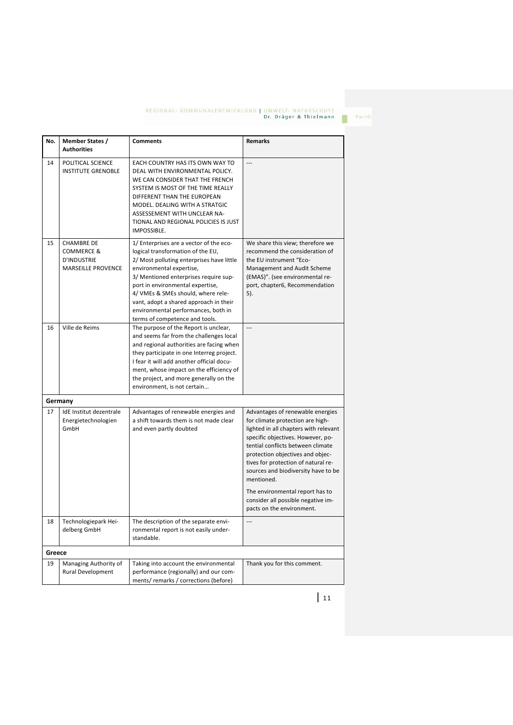PartG

| No.    | Member States /<br><b>Authorities</b>                                                         | <b>Comments</b>                                                                                                                                                                                                                                                                                                                                                                             | <b>Remarks</b>                                                                                                                                                                                                                                                                                                          |
|--------|-----------------------------------------------------------------------------------------------|---------------------------------------------------------------------------------------------------------------------------------------------------------------------------------------------------------------------------------------------------------------------------------------------------------------------------------------------------------------------------------------------|-------------------------------------------------------------------------------------------------------------------------------------------------------------------------------------------------------------------------------------------------------------------------------------------------------------------------|
| 14     | POLITICAL SCIENCE<br><b>INSTITUTE GRENOBLE</b>                                                | EACH COUNTRY HAS ITS OWN WAY TO<br>DEAL WITH ENVIRONMENTAL POLICY.<br>WE CAN CONSIDER THAT THE FRENCH<br>SYSTEM IS MOST OF THE TIME REALLY<br>DIFFERENT THAN THE EUROPEAN<br>MODEL. DEALING WITH A STRATGIC<br>ASSESSEMENT WITH UNCLEAR NA-<br>TIONAL AND REGIONAL POLICIES IS JUST<br>IMPOSSIBLE.                                                                                          | ---                                                                                                                                                                                                                                                                                                                     |
| 15     | <b>CHAMBRE DE</b><br><b>COMMERCE &amp;</b><br><b>D'INDUSTRIE</b><br><b>MARSEILLE PROVENCE</b> | 1/ Enterprises are a vector of the eco-<br>logical transformation of the EU,<br>2/ Most polluting enterprises have little<br>environmental expertise,<br>3/ Mentioned enterprises require sup-<br>port in environmental expertise,<br>4/ VMEs & SMEs should, where rele-<br>vant, adopt a shared approach in their<br>environmental performances, both in<br>terms of competence and tools. | We share this view; therefore we<br>recommend the consideration of<br>the EU instrument "Eco-<br>Management and Audit Scheme<br>(EMAS)". (see environmental re-<br>port, chapter6, Recommendation<br>5).                                                                                                                |
| 16     | Ville de Reims                                                                                | The purpose of the Report is unclear,<br>and seems far from the challenges local<br>and regional authorities are facing when<br>they participate in one Interreg project.<br>I fear it will add another official docu-<br>ment, whose impact on the efficiency of<br>the project, and more generally on the<br>environment, is not certain                                                  | ---                                                                                                                                                                                                                                                                                                                     |
|        | Germany                                                                                       |                                                                                                                                                                                                                                                                                                                                                                                             |                                                                                                                                                                                                                                                                                                                         |
| 17     | IdE Institut dezentrale<br>Energietechnologien<br>GmbH                                        | Advantages of renewable energies and<br>a shift towards them is not made clear<br>and even partly doubted                                                                                                                                                                                                                                                                                   | Advantages of renewable energies<br>for climate protection are high-<br>lighted in all chapters with relevant<br>specific objectives. However, po-<br>tential conflicts between climate<br>protection objectives and objec-<br>tives for protection of natural re-<br>sources and biodiversity have to be<br>mentioned. |
|        |                                                                                               |                                                                                                                                                                                                                                                                                                                                                                                             | The environmental report has to<br>consider all possible negative im-<br>pacts on the environment.                                                                                                                                                                                                                      |
| 18     | Technologiepark Hei-<br>delberg GmbH                                                          | The description of the separate envi-<br>ronmental report is not easily under-<br>standable.                                                                                                                                                                                                                                                                                                | ---                                                                                                                                                                                                                                                                                                                     |
| Greece |                                                                                               |                                                                                                                                                                                                                                                                                                                                                                                             |                                                                                                                                                                                                                                                                                                                         |
| 19     | Managing Authority of<br>Rural Development                                                    | Taking into account the environmental<br>performance (regionally) and our com-<br>ments/remarks/corrections (before)                                                                                                                                                                                                                                                                        | Thank you for this comment.                                                                                                                                                                                                                                                                                             |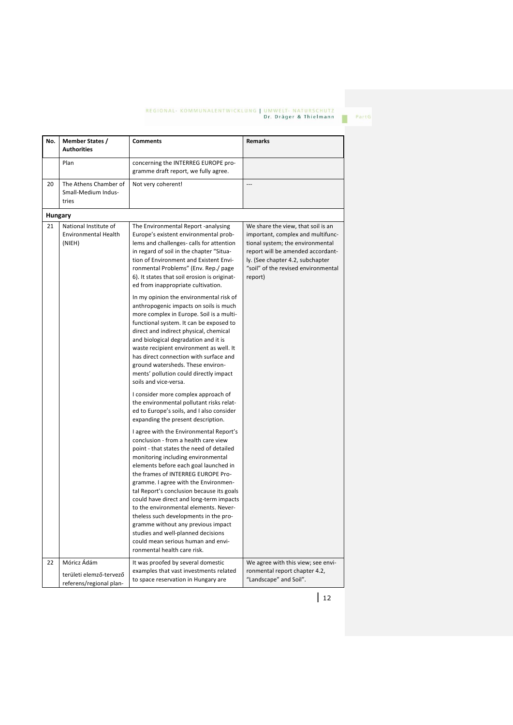**No. Member States / Authorities Comments Remarks** Plan concerning the INTERREG EUROPE programme draft report, we fully agree. 20 The Athens Chamber of Small-Medium Industries Not very coherent! **Hungary** 21 National Institute of Environmental Health (NIEH) The Environmental Report -analysing Europe's existent environmental problems and challenges- calls for attention in regard of soil in the chapter "Situation of Environment and Existent Environmental Problems" (Env. Rep./ page 6). It states that soil erosion is originated from inappropriate cultivation. In my opinion the environmental risk of anthropogenic impacts on soils is much more complex in Europe. Soil is a multifunctional system. It can be exposed to direct and indirect physical, chemical and biological degradation and it is waste recipient environment as well. It has direct connection with surface and ground watersheds. These environments' pollution could directly impact soils and vice-versa. I consider more complex approach of the environmental pollutant risks related to Europe's soils, and I also consider expanding the present description. I agree with the Environmental Report's conclusion - from a health care view point - that states the need of detailed monitoring including environmental elements before each goal launched in the frames of INTERREG EUROPE Programme. I agree with the Environmental Report's conclusion because its goals could have direct and long-term impacts to the environmental elements. Nevertheless such developments in the programme without any previous impact studies and well-planned decisions could mean serious human and environmental health care risk. We share the view, that soil is an important, complex and multifunctional system; the environmental report will be amended accordantly. (See chapter 4.2, subchapter "soil" of the revised environmental report) 22 Móricz Ádám It was proofed by several domestic We agree with this view; see envi-

> examples that vast investments related to space reservation in Hungary are

területi elemző-tervező referens/regional planronmental report chapter 4.2, "Landscape" and Soil".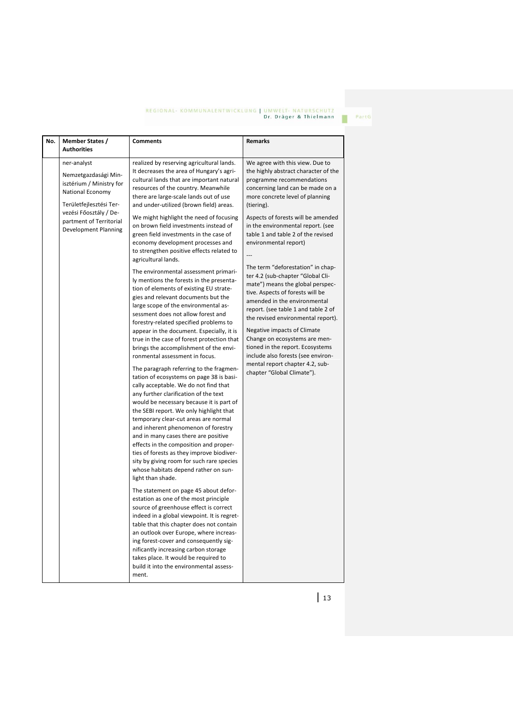PartG

п

| ner-analyst<br>realized by reserving agricultural lands.<br>We agree with this view. Due to<br>It decreases the area of Hungary's agri-<br>Nemzetgazdasági Min-<br>cultural lands that are important natural<br>programme recommendations<br>isztérium / Ministry for<br>resources of the country. Meanwhile<br>concerning land can be made on a<br>National Economy<br>there are large-scale lands out of use<br>more concrete level of planning<br>Területfejlesztési Ter-<br>and under-utilized (brown field) areas.<br>(tiering).<br>vezési Főosztály / De-<br>We might highlight the need of focusing<br>partment of Territorial<br>on brown field investments instead of<br>in the environmental report. (see<br>Development Planning<br>green field investments in the case of<br>table 1 and table 2 of the revised<br>economy development processes and<br>environmental report)<br>to strengthen positive effects related to<br>$\overline{a}$<br>agricultural lands.<br>The term "deforestation" in chap-<br>The environmental assessment primari-<br>ter 4.2 (sub-chapter "Global Cli-<br>ly mentions the forests in the presenta-<br>mate") means the global perspec-<br>tion of elements of existing EU strate-<br>tive. Aspects of forests will be<br>gies and relevant documents but the<br>amended in the environmental<br>large scope of the environmental as-<br>report. (see table 1 and table 2 of<br>sessment does not allow forest and<br>forestry-related specified problems to<br>Negative impacts of Climate<br>appear in the document. Especially, it is<br>Change on ecosystems are men-<br>true in the case of forest protection that<br>tioned in the report. Ecosystems<br>brings the accomplishment of the envi-<br>include also forests (see environ-<br>ronmental assessment in focus.<br>mental report chapter 4.2, sub-<br>The paragraph referring to the fragmen-<br>chapter "Global Climate").<br>tation of ecosystems on page 38 is basi-<br>cally acceptable. We do not find that<br>any further clarification of the text<br>would be necessary because it is part of<br>the SEBI report. We only highlight that<br>temporary clear-cut areas are normal<br>and inherent phenomenon of forestry<br>and in many cases there are positive<br>effects in the composition and proper-<br>ties of forests as they improve biodiver-<br>sity by giving room for such rare species<br>whose habitats depend rather on sun-<br>light than shade.<br>The statement on page 45 about defor-<br>estation as one of the most principle<br>source of greenhouse effect is correct<br>indeed in a global viewpoint. It is regret-<br>table that this chapter does not contain | No. | Member States /<br><b>Authorities</b> | <b>Comments</b>                        | <b>Remarks</b>                                                                                                   |
|----------------------------------------------------------------------------------------------------------------------------------------------------------------------------------------------------------------------------------------------------------------------------------------------------------------------------------------------------------------------------------------------------------------------------------------------------------------------------------------------------------------------------------------------------------------------------------------------------------------------------------------------------------------------------------------------------------------------------------------------------------------------------------------------------------------------------------------------------------------------------------------------------------------------------------------------------------------------------------------------------------------------------------------------------------------------------------------------------------------------------------------------------------------------------------------------------------------------------------------------------------------------------------------------------------------------------------------------------------------------------------------------------------------------------------------------------------------------------------------------------------------------------------------------------------------------------------------------------------------------------------------------------------------------------------------------------------------------------------------------------------------------------------------------------------------------------------------------------------------------------------------------------------------------------------------------------------------------------------------------------------------------------------------------------------------------------------------------------------------------------------------------------------------------------------------------------------------------------------------------------------------------------------------------------------------------------------------------------------------------------------------------------------------------------------------------------------------------------------------------------------------------------------------------------------------------------------------------------------------------------------------------------------------------------------------------------------|-----|---------------------------------------|----------------------------------------|------------------------------------------------------------------------------------------------------------------|
| ing forest-cover and consequently sig-<br>nificantly increasing carbon storage<br>takes place. It would be required to                                                                                                                                                                                                                                                                                                                                                                                                                                                                                                                                                                                                                                                                                                                                                                                                                                                                                                                                                                                                                                                                                                                                                                                                                                                                                                                                                                                                                                                                                                                                                                                                                                                                                                                                                                                                                                                                                                                                                                                                                                                                                                                                                                                                                                                                                                                                                                                                                                                                                                                                                                                   |     |                                       | an outlook over Europe, where increas- | the highly abstract character of the<br>Aspects of forests will be amended<br>the revised environmental report). |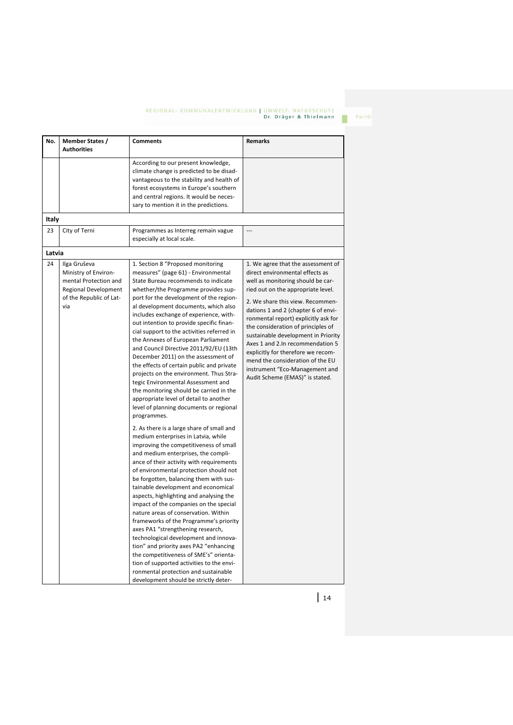PartG

| No.    | <b>Member States /</b><br><b>Authorities</b>                                                                            | <b>Comments</b>                                                                                                                                                                                                                                                                                                                                                                                                                                                                                                                                                                                                                                                                                                                                                                                                                                                                                                                                                                                                                                                                                                                                                                                                                                                                                                                                                                                                                                                                                                                                                                                      | <b>Remarks</b>                                                                                                                                                                                                                                                                                                                                                                                                                                                                                                                      |
|--------|-------------------------------------------------------------------------------------------------------------------------|------------------------------------------------------------------------------------------------------------------------------------------------------------------------------------------------------------------------------------------------------------------------------------------------------------------------------------------------------------------------------------------------------------------------------------------------------------------------------------------------------------------------------------------------------------------------------------------------------------------------------------------------------------------------------------------------------------------------------------------------------------------------------------------------------------------------------------------------------------------------------------------------------------------------------------------------------------------------------------------------------------------------------------------------------------------------------------------------------------------------------------------------------------------------------------------------------------------------------------------------------------------------------------------------------------------------------------------------------------------------------------------------------------------------------------------------------------------------------------------------------------------------------------------------------------------------------------------------------|-------------------------------------------------------------------------------------------------------------------------------------------------------------------------------------------------------------------------------------------------------------------------------------------------------------------------------------------------------------------------------------------------------------------------------------------------------------------------------------------------------------------------------------|
|        |                                                                                                                         | According to our present knowledge,<br>climate change is predicted to be disad-<br>vantageous to the stability and health of<br>forest ecosystems in Europe's southern<br>and central regions. It would be neces-<br>sary to mention it in the predictions.                                                                                                                                                                                                                                                                                                                                                                                                                                                                                                                                                                                                                                                                                                                                                                                                                                                                                                                                                                                                                                                                                                                                                                                                                                                                                                                                          |                                                                                                                                                                                                                                                                                                                                                                                                                                                                                                                                     |
| Italy  |                                                                                                                         |                                                                                                                                                                                                                                                                                                                                                                                                                                                                                                                                                                                                                                                                                                                                                                                                                                                                                                                                                                                                                                                                                                                                                                                                                                                                                                                                                                                                                                                                                                                                                                                                      |                                                                                                                                                                                                                                                                                                                                                                                                                                                                                                                                     |
| 23     | City of Terni                                                                                                           | Programmes as Interreg remain vague<br>especially at local scale.                                                                                                                                                                                                                                                                                                                                                                                                                                                                                                                                                                                                                                                                                                                                                                                                                                                                                                                                                                                                                                                                                                                                                                                                                                                                                                                                                                                                                                                                                                                                    | $\overline{a}$                                                                                                                                                                                                                                                                                                                                                                                                                                                                                                                      |
| Latvia |                                                                                                                         |                                                                                                                                                                                                                                                                                                                                                                                                                                                                                                                                                                                                                                                                                                                                                                                                                                                                                                                                                                                                                                                                                                                                                                                                                                                                                                                                                                                                                                                                                                                                                                                                      |                                                                                                                                                                                                                                                                                                                                                                                                                                                                                                                                     |
| 24     | Ilga Gruševa<br>Ministry of Environ-<br>mental Protection and<br>Regional Development<br>of the Republic of Lat-<br>via | 1. Section 8 "Proposed monitoring<br>measures" (page 61) - Environmental<br>State Bureau recommends to indicate<br>whether/the Programme provides sup-<br>port for the development of the region-<br>al development documents, which also<br>includes exchange of experience, with-<br>out intention to provide specific finan-<br>cial support to the activities referred in<br>the Annexes of European Parliament<br>and Council Directive 2011/92/EU (13th<br>December 2011) on the assessment of<br>the effects of certain public and private<br>projects on the environment. Thus Stra-<br>tegic Environmental Assessment and<br>the monitoring should be carried in the<br>appropriate level of detail to another<br>level of planning documents or regional<br>programmes.<br>2. As there is a large share of small and<br>medium enterprises in Latvia, while<br>improving the competitiveness of small<br>and medium enterprises, the compli-<br>ance of their activity with requirements<br>of environmental protection should not<br>be forgotten, balancing them with sus-<br>tainable development and economical<br>aspects, highlighting and analysing the<br>impact of the companies on the special<br>nature areas of conservation. Within<br>frameworks of the Programme's priority<br>axes PA1 "strengthening research,<br>technological development and innova-<br>tion" and priority axes PA2 "enhancing<br>the competitiveness of SME's" orienta-<br>tion of supported activities to the envi-<br>ronmental protection and sustainable<br>development should be strictly deter- | 1. We agree that the assessment of<br>direct environmental effects as<br>well as monitoring should be car-<br>ried out on the appropriate level.<br>2. We share this view. Recommen-<br>dations 1 and 2 (chapter 6 of envi-<br>ronmental report) explicitly ask for<br>the consideration of principles of<br>sustainable development in Priority<br>Axes 1 and 2.In recommendation 5<br>explicitly for therefore we recom-<br>mend the consideration of the EU<br>instrument "Eco-Management and<br>Audit Scheme (EMAS)" is stated. |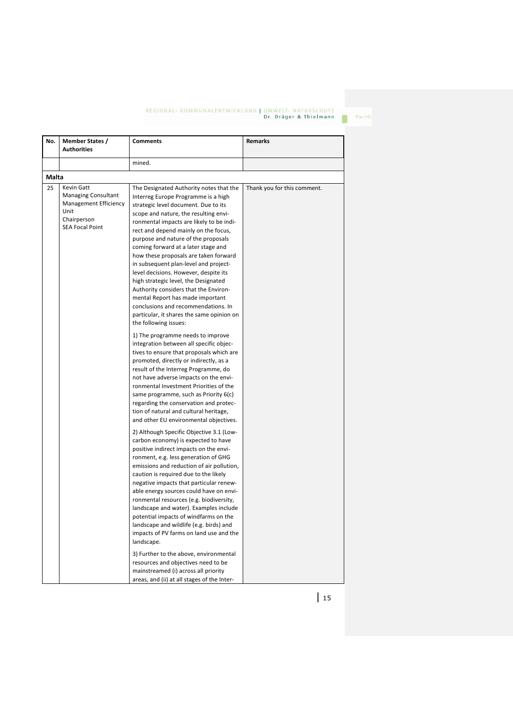PartG

| No.   | <b>Member States /</b><br><b>Authorities</b>                                                                              | <b>Comments</b>                                                                                                                                                                                                                                                                                                                                                                                                                                                                                                                                                                                                                                                                                                                                                                                                                                                                                                                                                                                                                                                                                                                                                                                                                                                                                                                                                                                                                                                                                                                                                                                                                                                                                                                                                                                                                                                                                                                   | Remarks                     |
|-------|---------------------------------------------------------------------------------------------------------------------------|-----------------------------------------------------------------------------------------------------------------------------------------------------------------------------------------------------------------------------------------------------------------------------------------------------------------------------------------------------------------------------------------------------------------------------------------------------------------------------------------------------------------------------------------------------------------------------------------------------------------------------------------------------------------------------------------------------------------------------------------------------------------------------------------------------------------------------------------------------------------------------------------------------------------------------------------------------------------------------------------------------------------------------------------------------------------------------------------------------------------------------------------------------------------------------------------------------------------------------------------------------------------------------------------------------------------------------------------------------------------------------------------------------------------------------------------------------------------------------------------------------------------------------------------------------------------------------------------------------------------------------------------------------------------------------------------------------------------------------------------------------------------------------------------------------------------------------------------------------------------------------------------------------------------------------------|-----------------------------|
|       |                                                                                                                           | mined.                                                                                                                                                                                                                                                                                                                                                                                                                                                                                                                                                                                                                                                                                                                                                                                                                                                                                                                                                                                                                                                                                                                                                                                                                                                                                                                                                                                                                                                                                                                                                                                                                                                                                                                                                                                                                                                                                                                            |                             |
| Malta |                                                                                                                           |                                                                                                                                                                                                                                                                                                                                                                                                                                                                                                                                                                                                                                                                                                                                                                                                                                                                                                                                                                                                                                                                                                                                                                                                                                                                                                                                                                                                                                                                                                                                                                                                                                                                                                                                                                                                                                                                                                                                   |                             |
| 25    | Kevin Gatt<br><b>Managing Consultant</b><br><b>Management Efficiency</b><br>Unit<br>Chairperson<br><b>SEA Focal Point</b> | The Designated Authority notes that the<br>Interreg Europe Programme is a high<br>strategic level document. Due to its<br>scope and nature, the resulting envi-<br>ronmental impacts are likely to be indi-<br>rect and depend mainly on the focus,<br>purpose and nature of the proposals<br>coming forward at a later stage and<br>how these proposals are taken forward<br>in subsequent plan-level and project-<br>level decisions. However, despite its<br>high strategic level, the Designated<br>Authority considers that the Environ-<br>mental Report has made important<br>conclusions and recommendations. In<br>particular, it shares the same opinion on<br>the following issues:<br>1) The programme needs to improve<br>integration between all specific objec-<br>tives to ensure that proposals which are<br>promoted, directly or indirectly, as a<br>result of the Interreg Programme, do<br>not have adverse impacts on the envi-<br>ronmental Investment Priorities of the<br>same programme, such as Priority 6(c)<br>regarding the conservation and protec-<br>tion of natural and cultural heritage,<br>and other EU environmental objectives.<br>2) Although Specific Objective 3.1 (Low-<br>carbon economy) is expected to have<br>positive indirect impacts on the envi-<br>ronment, e.g. less generation of GHG<br>emissions and reduction of air pollution,<br>caution is required due to the likely<br>negative impacts that particular renew-<br>able energy sources could have on envi-<br>ronmental resources (e.g. biodiversity,<br>landscape and water). Examples include<br>potential impacts of windfarms on the<br>landscape and wildlife (e.g. birds) and<br>impacts of PV farms on land use and the<br>landscape.<br>3) Further to the above, environmental<br>resources and objectives need to be<br>mainstreamed (i) across all priority<br>areas, and (ii) at all stages of the Inter- | Thank you for this comment. |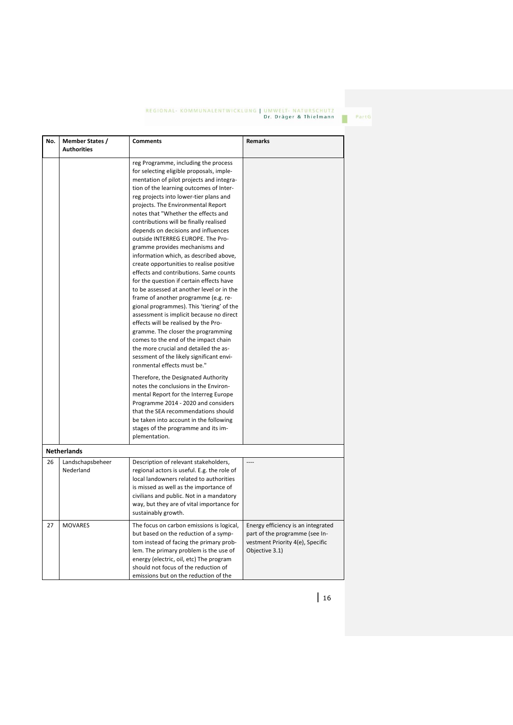PartG

| No. | Member States /<br><b>Authorities</b> | <b>Comments</b>                                                                                                                                                                                                                                                                                                                                                                                                                                                                                                                                                                                                                                                                                                                                                                                                                                                                                                                                                                                                                                                                                                                                                                                                            | <b>Remarks</b>                                                                                                             |
|-----|---------------------------------------|----------------------------------------------------------------------------------------------------------------------------------------------------------------------------------------------------------------------------------------------------------------------------------------------------------------------------------------------------------------------------------------------------------------------------------------------------------------------------------------------------------------------------------------------------------------------------------------------------------------------------------------------------------------------------------------------------------------------------------------------------------------------------------------------------------------------------------------------------------------------------------------------------------------------------------------------------------------------------------------------------------------------------------------------------------------------------------------------------------------------------------------------------------------------------------------------------------------------------|----------------------------------------------------------------------------------------------------------------------------|
|     |                                       | reg Programme, including the process<br>for selecting eligible proposals, imple-<br>mentation of pilot projects and integra-<br>tion of the learning outcomes of Inter-<br>reg projects into lower-tier plans and<br>projects. The Environmental Report<br>notes that "Whether the effects and<br>contributions will be finally realised<br>depends on decisions and influences<br>outside INTERREG EUROPE. The Pro-<br>gramme provides mechanisms and<br>information which, as described above,<br>create opportunities to realise positive<br>effects and contributions. Same counts<br>for the question if certain effects have<br>to be assessed at another level or in the<br>frame of another programme (e.g. re-<br>gional programmes). This 'tiering' of the<br>assessment is implicit because no direct<br>effects will be realised by the Pro-<br>gramme. The closer the programming<br>comes to the end of the impact chain<br>the more crucial and detailed the as-<br>sessment of the likely significant envi-<br>ronmental effects must be."<br>Therefore, the Designated Authority<br>notes the conclusions in the Environ-<br>mental Report for the Interreg Europe<br>Programme 2014 - 2020 and considers |                                                                                                                            |
|     |                                       | that the SEA recommendations should<br>be taken into account in the following<br>stages of the programme and its im-<br>plementation.                                                                                                                                                                                                                                                                                                                                                                                                                                                                                                                                                                                                                                                                                                                                                                                                                                                                                                                                                                                                                                                                                      |                                                                                                                            |
|     | <b>Netherlands</b>                    |                                                                                                                                                                                                                                                                                                                                                                                                                                                                                                                                                                                                                                                                                                                                                                                                                                                                                                                                                                                                                                                                                                                                                                                                                            |                                                                                                                            |
| 26  | Landschapsbeheer<br>Nederland         | Description of relevant stakeholders,<br>regional actors is useful. E.g. the role of<br>local landowners related to authorities<br>is missed as well as the importance of<br>civilians and public. Not in a mandatory<br>way, but they are of vital importance for<br>sustainably growth.                                                                                                                                                                                                                                                                                                                                                                                                                                                                                                                                                                                                                                                                                                                                                                                                                                                                                                                                  | $---$                                                                                                                      |
| 27  | <b>MOVARES</b>                        | The focus on carbon emissions is logical,<br>but based on the reduction of a symp-<br>tom instead of facing the primary prob-<br>lem. The primary problem is the use of<br>energy (electric, oil, etc) The program<br>should not focus of the reduction of<br>emissions but on the reduction of the                                                                                                                                                                                                                                                                                                                                                                                                                                                                                                                                                                                                                                                                                                                                                                                                                                                                                                                        | Energy efficiency is an integrated<br>part of the programme (see In-<br>vestment Priority 4(e), Specific<br>Objective 3.1) |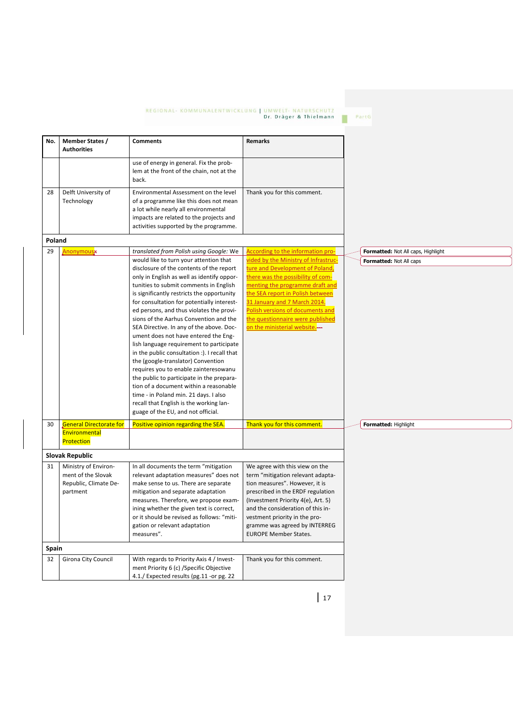| No.    | <b>Member States /</b><br><b>Authorities</b>                                    | <b>Comments</b>                                                                                                                                                                                                                                                                                                                                                                                                                                                                                                                                                                                                                                                                                                                                                                                                                              | Remarks                                                                                                                                                                                                                                                                                                                     |  |                                    |  |  |  |  |
|--------|---------------------------------------------------------------------------------|----------------------------------------------------------------------------------------------------------------------------------------------------------------------------------------------------------------------------------------------------------------------------------------------------------------------------------------------------------------------------------------------------------------------------------------------------------------------------------------------------------------------------------------------------------------------------------------------------------------------------------------------------------------------------------------------------------------------------------------------------------------------------------------------------------------------------------------------|-----------------------------------------------------------------------------------------------------------------------------------------------------------------------------------------------------------------------------------------------------------------------------------------------------------------------------|--|------------------------------------|--|--|--|--|
|        |                                                                                 | use of energy in general. Fix the prob-<br>lem at the front of the chain, not at the<br>back.                                                                                                                                                                                                                                                                                                                                                                                                                                                                                                                                                                                                                                                                                                                                                |                                                                                                                                                                                                                                                                                                                             |  |                                    |  |  |  |  |
| 28     | Delft University of<br>Technology                                               | Environmental Assessment on the level<br>of a programme like this does not mean<br>a lot while nearly all environmental<br>impacts are related to the projects and<br>activities supported by the programme.                                                                                                                                                                                                                                                                                                                                                                                                                                                                                                                                                                                                                                 | Thank you for this comment.                                                                                                                                                                                                                                                                                                 |  |                                    |  |  |  |  |
| Poland |                                                                                 |                                                                                                                                                                                                                                                                                                                                                                                                                                                                                                                                                                                                                                                                                                                                                                                                                                              |                                                                                                                                                                                                                                                                                                                             |  |                                    |  |  |  |  |
| 29     | <b>Anonymous</b>                                                                | translated from Polish using Google: We                                                                                                                                                                                                                                                                                                                                                                                                                                                                                                                                                                                                                                                                                                                                                                                                      | According to the information pro-                                                                                                                                                                                                                                                                                           |  | Formatted: Not All caps, Highlight |  |  |  |  |
|        |                                                                                 | would like to turn your attention that<br>disclosure of the contents of the report<br>only in English as well as identify oppor-<br>tunities to submit comments in English<br>is significantly restricts the opportunity<br>for consultation for potentially interest-<br>ed persons, and thus violates the provi-<br>sions of the Aarhus Convention and the<br>SEA Directive. In any of the above. Doc-<br>ument does not have entered the Eng-<br>lish language requirement to participate<br>in the public consultation :). I recall that<br>the (google-translator) Convention<br>requires you to enable zainteresowanu<br>the public to participate in the prepara-<br>tion of a document within a reasonable<br>time - in Poland min. 21 days. I also<br>recall that English is the working lan-<br>guage of the EU, and not official. | vided by the Ministry of Infrastruc-<br>ture and Development of Poland,<br>there was the possibility of com-<br>menting the programme draft and<br>the SEA report in Polish between<br>31 January and 7 March 2014.<br>Polish versions of documents and<br>the questionnaire were published<br>on the ministerial website.- |  | Formatted: Not All caps            |  |  |  |  |
| 30     | <b>General Directorate for</b><br>Environmental<br>Protection                   | Positive opinion regarding the SEA.                                                                                                                                                                                                                                                                                                                                                                                                                                                                                                                                                                                                                                                                                                                                                                                                          | Thank you for this comment.                                                                                                                                                                                                                                                                                                 |  | Formatted: Highlight               |  |  |  |  |
|        | <b>Slovak Republic</b>                                                          |                                                                                                                                                                                                                                                                                                                                                                                                                                                                                                                                                                                                                                                                                                                                                                                                                                              |                                                                                                                                                                                                                                                                                                                             |  |                                    |  |  |  |  |
| 31     | Ministry of Environ-<br>ment of the Slovak<br>Republic, Climate De-<br>partment | In all documents the term "mitigation<br>relevant adaptation measures" does not<br>make sense to us. There are separate<br>mitigation and separate adaptation<br>measures. Therefore, we propose exam-<br>ining whether the given text is correct,<br>or it should be revised as follows: "miti-<br>gation or relevant adaptation<br>measures".                                                                                                                                                                                                                                                                                                                                                                                                                                                                                              | We agree with this view on the<br>term "mitigation relevant adapta-<br>tion measures". However, it is<br>prescribed in the ERDF regulation<br>(Investment Priority 4(e), Art. 5)<br>and the consideration of this in-<br>vestment priority in the pro-<br>gramme was agreed by INTERREG<br><b>EUROPE Member States.</b>     |  |                                    |  |  |  |  |
|        | Spain                                                                           |                                                                                                                                                                                                                                                                                                                                                                                                                                                                                                                                                                                                                                                                                                                                                                                                                                              |                                                                                                                                                                                                                                                                                                                             |  |                                    |  |  |  |  |
| 32     | Girona City Council                                                             | With regards to Priority Axis 4 / Invest-<br>ment Priority 6 (c) / Specific Objective<br>4.1./ Expected results (pg.11 -or pg. 22                                                                                                                                                                                                                                                                                                                                                                                                                                                                                                                                                                                                                                                                                                            | Thank you for this comment.                                                                                                                                                                                                                                                                                                 |  |                                    |  |  |  |  |